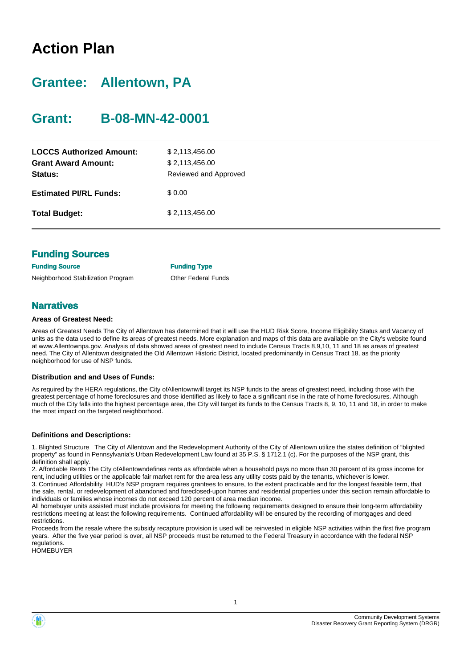## **Action Plan**

### **Grantee: Allentown, PA**

### **Grant: B-08-MN-42-0001**

| <b>LOCCS Authorized Amount:</b><br><b>Grant Award Amount:</b><br>Status: | \$2,113,456.00<br>\$2,113,456.00<br>Reviewed and Approved |
|--------------------------------------------------------------------------|-----------------------------------------------------------|
| <b>Estimated PI/RL Funds:</b>                                            | \$0.00                                                    |
| <b>Total Budget:</b>                                                     | \$2,113,456.00                                            |

| <b>Funding Sources</b>             |                            |
|------------------------------------|----------------------------|
| <b>Funding Source</b>              | <b>Funding Type</b>        |
| Neighborhood Stabilization Program | <b>Other Federal Funds</b> |

#### **Narratives**

#### **Areas of Greatest Need:**

Areas of Greatest Needs The City of Allentown has determined that it will use the HUD Risk Score, Income Eligibility Status and Vacancy of units as the data used to define its areas of greatest needs. More explanation and maps of this data are available on the City's website found at www.Allentownpa.gov. Analysis of data showed areas of greatest need to include Census Tracts 8,9,10, 11 and 18 as areas of greatest need. The City of Allentown designated the Old Allentown Historic District, located predominantly in Census Tract 18, as the priority neighborhood for use of NSP funds.

#### **Distribution and and Uses of Funds:**

As required by the HERA regulations, the City ofAllentownwill target its NSP funds to the areas of greatest need, including those with the greatest percentage of home foreclosures and those identified as likely to face a significant rise in the rate of home foreclosures. Although much of the City falls into the highest percentage area, the City will target its funds to the Census Tracts 8, 9, 10, 11 and 18, in order to make the most impact on the targeted neighborhood.

#### **Definitions and Descriptions:**

1. Blighted Structure The City of Allentown and the Redevelopment Authority of the City of Allentown utilize the states definition of "blighted property" as found in Pennsylvania's Urban Redevelopment Law found at 35 P.S. § 1712.1 (c). For the purposes of the NSP grant, this definition shall apply.

2. Affordable Rents The City ofAllentowndefines rents as affordable when a household pays no more than 30 percent of its gross income for rent, including utilities or the applicable fair market rent for the area less any utility costs paid by the tenants, whichever is lower. 3. Continued Affordability HUD's NSP program requires grantees to ensure, to the extent practicable and for the longest feasible term, that

the sale, rental, or redevelopment of abandoned and foreclosed-upon homes and residential properties under this section remain affordable to individuals or families whose incomes do not exceed 120 percent of area median income.

All homebuyer units assisted must include provisions for meeting the following requirements designed to ensure their long-term affordability restrictions meeting at least the following requirements. Continued affordability will be ensured by the recording of mortgages and deed restrictions.

Proceeds from the resale where the subsidy recapture provision is used will be reinvested in eligible NSP activities within the first five program years. After the five year period is over, all NSP proceeds must be returned to the Federal Treasury in accordance with the federal NSP regulations.

**HOMEBUYER** 



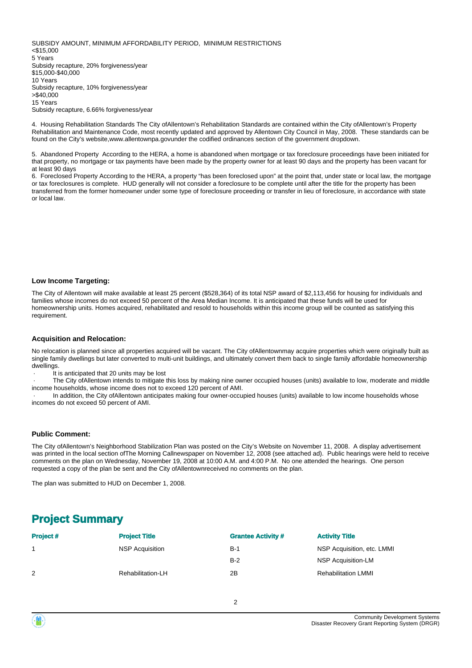SUBSIDY AMOUNT, MINIMUM AFFORDABILITY PERIOD, MINIMUM RESTRICTIONS <\$15,000 5 Years Subsidy recapture, 20% forgiveness/year \$15,000-\$40,000 10 Years Subsidy recapture, 10% forgiveness/year >\$40,000 15 Years

Subsidy recapture, 6.66% forgiveness/year

4. Housing Rehabilitation Standards The City ofAllentown's Rehabilitation Standards are contained within the City ofAllentown's Property Rehabilitation and Maintenance Code, most recently updated and approved by Allentown City Council in May, 2008. These standards can be found on the City's website,www.allentownpa.govunder the codified ordinances section of the government dropdown.

5. Abandoned Property According to the HERA, a home is abandoned when mortgage or tax foreclosure proceedings have been initiated for that property, no mortgage or tax payments have been made by the property owner for at least 90 days and the property has been vacant for at least 90 days

6. Foreclosed Property According to the HERA, a property "has been foreclosed upon" at the point that, under state or local law, the mortgage or tax foreclosures is complete. HUD generally will not consider a foreclosure to be complete until after the title for the property has been transferred from the former homeowner under some type of foreclosure proceeding or transfer in lieu of foreclosure, in accordance with state or local law.

#### **Low Income Targeting:**

The City of Allentown will make available at least 25 percent (\$528,364) of its total NSP award of \$2,113,456 for housing for individuals and families whose incomes do not exceed 50 percent of the Area Median Income. It is anticipated that these funds will be used for homeownership units. Homes acquired, rehabilitated and resold to households within this income group will be counted as satisfying this requirement.

#### **Acquisition and Relocation:**

No relocation is planned since all properties acquired will be vacant. The City ofAllentownmay acquire properties which were originally built as single family dwellings but later converted to multi-unit buildings, and ultimately convert them back to single family affordable homeownership dwellings.

It is anticipated that 20 units may be lost

The City of Allentown intends to mitigate this loss by making nine owner occupied houses (units) available to low, moderate and middle income households, whose income does not to exceed 120 percent of AMI.

In addition, the City ofAllentown anticipates making four owner-occupied houses (units) available to low income households whose incomes do not exceed 50 percent of AMI.

#### **Public Comment:**

The City ofAllentown's Neighborhood Stabilization Plan was posted on the City's Website on November 11, 2008. A display advertisement was printed in the local section ofThe Morning Callnewspaper on November 12, 2008 (see attached ad). Public hearings were held to receive comments on the plan on Wednesday, November 19, 2008 at 10:00 A.M. and 4:00 P.M. No one attended the hearings. One person requested a copy of the plan be sent and the City ofAllentownreceived no comments on the plan.

The plan was submitted to HUD on December 1, 2008.

### **Project Summary**

| <b>Project#</b> | <b>Project Title</b>   | <b>Grantee Activity #</b> | <b>Activity Title</b>      |
|-----------------|------------------------|---------------------------|----------------------------|
|                 | <b>NSP Acquisition</b> | $B-1$                     | NSP Acquisition, etc. LMMI |
|                 |                        | $B-2$                     | NSP Acquisition-LM         |
| 2               | Rehabilitation-LH      | 2B                        | <b>Rehabilitation LMMI</b> |

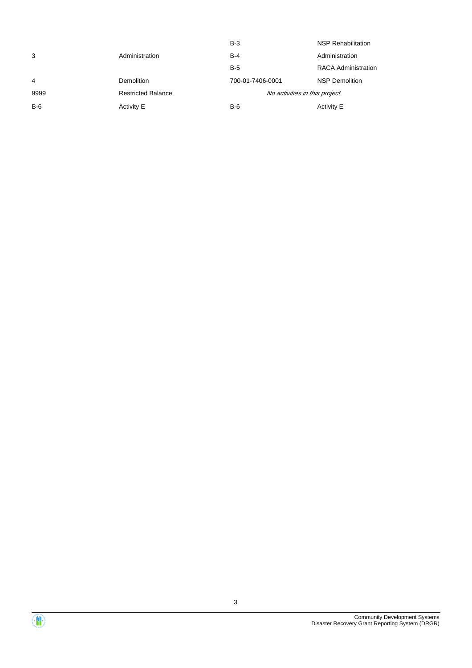|       |                           | $B-3$                         | <b>NSP Rehabilitation</b>  |
|-------|---------------------------|-------------------------------|----------------------------|
| 3     | Administration            | $B-4$                         | Administration             |
|       |                           | $B-5$                         | <b>RACA Administration</b> |
| 4     | <b>Demolition</b>         | 700-01-7406-0001              | <b>NSP Demolition</b>      |
| 9999  | <b>Restricted Balance</b> | No activities in this project |                            |
| $B-6$ | Activity E                | $B-6$                         | Activity E                 |

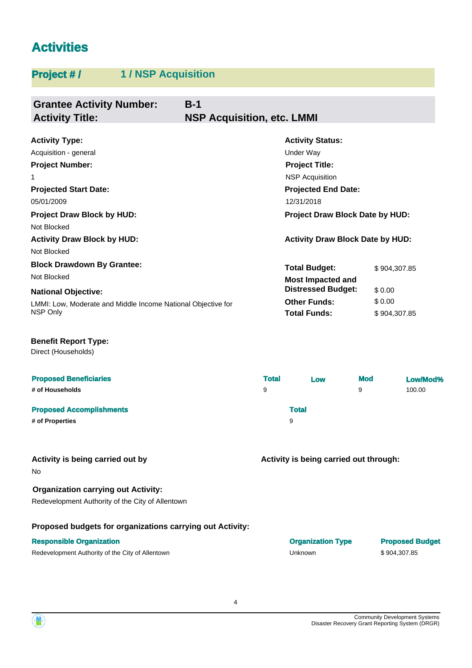### **Activities**

### **Project # / 1 / NSP Acquisition**

| <b>Grantee Activity Number:</b><br><b>Activity Title:</b>    | $B-1$<br><b>NSP Acquisition, etc. LMMI</b> |                                         |            |              |          |
|--------------------------------------------------------------|--------------------------------------------|-----------------------------------------|------------|--------------|----------|
| <b>Activity Type:</b>                                        |                                            | <b>Activity Status:</b>                 |            |              |          |
| Acquisition - general                                        |                                            | Under Way                               |            |              |          |
| <b>Project Number:</b>                                       |                                            | <b>Project Title:</b>                   |            |              |          |
| 1                                                            |                                            | <b>NSP Acquisition</b>                  |            |              |          |
| <b>Projected Start Date:</b>                                 |                                            | <b>Projected End Date:</b>              |            |              |          |
| 05/01/2009                                                   |                                            | 12/31/2018                              |            |              |          |
| <b>Project Draw Block by HUD:</b><br>Not Blocked             |                                            | <b>Project Draw Block Date by HUD:</b>  |            |              |          |
| <b>Activity Draw Block by HUD:</b>                           |                                            | <b>Activity Draw Block Date by HUD:</b> |            |              |          |
| Not Blocked                                                  |                                            |                                         |            |              |          |
| <b>Block Drawdown By Grantee:</b>                            |                                            | <b>Total Budget:</b>                    |            | \$904,307.85 |          |
| Not Blocked                                                  |                                            | <b>Most Impacted and</b>                |            |              |          |
| <b>National Objective:</b>                                   |                                            | <b>Distressed Budget:</b>               |            | \$0.00       |          |
| LMMI: Low, Moderate and Middle Income National Objective for |                                            | <b>Other Funds:</b>                     |            | \$0.00       |          |
| NSP Only                                                     |                                            | <b>Total Funds:</b>                     |            | \$904,307.85 |          |
| <b>Benefit Report Type:</b><br>Direct (Households)           |                                            |                                         |            |              |          |
| <b>Proposed Beneficiaries</b>                                | <b>Total</b>                               | Low                                     | <b>Mod</b> |              | Low/Mod% |
| # of Households                                              | 9                                          |                                         | 9          |              | 100.00   |
| <b>Proposed Accomplishments</b>                              |                                            | <b>Total</b>                            |            |              |          |

**# of Properties** 9

No

**Activity is being carried out by**

**Activity is being carried out through:**

#### **Organization carrying out Activity:**

Redevelopment Authority of the City of Allentown

#### **Proposed budgets for organizations carrying out Activity:**

| <b>Responsible Organization</b>                  | <b>Organization Type</b> | <b>Proposed Budget</b> |
|--------------------------------------------------|--------------------------|------------------------|
| Redevelopment Authority of the City of Allentown | Unknown                  | \$904.307.85           |

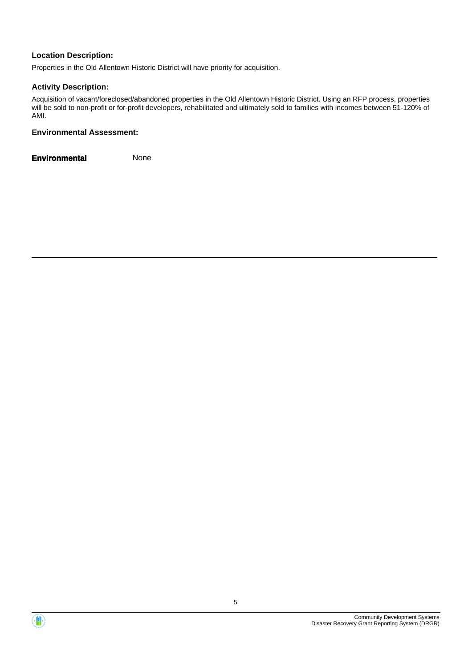#### **Location Description:**

Properties in the Old Allentown Historic District will have priority for acquisition.

#### **Activity Description:**

Acquisition of vacant/foreclosed/abandoned properties in the Old Allentown Historic District. Using an RFP process, properties will be sold to non-profit or for-profit developers, rehabilitated and ultimately sold to families with incomes between 51-120% of AMI.

#### **Environmental Assessment:**

**Environmental** None



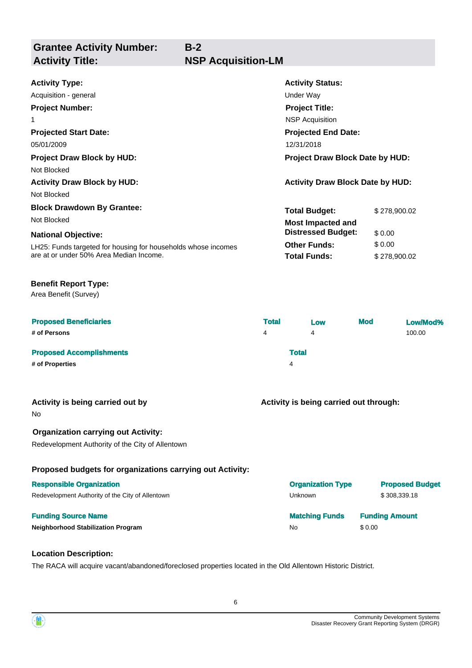**Grantee Activity Number:**

### **Activity Title: NSP Acquisition-LM**

**B-2**

| Under Way                               |                                                                                                           |  |
|-----------------------------------------|-----------------------------------------------------------------------------------------------------------|--|
| <b>Project Title:</b>                   |                                                                                                           |  |
| <b>NSP Acquisition</b>                  |                                                                                                           |  |
|                                         |                                                                                                           |  |
| 12/31/2018                              |                                                                                                           |  |
| <b>Project Draw Block Date by HUD:</b>  |                                                                                                           |  |
|                                         |                                                                                                           |  |
| <b>Activity Draw Block Date by HUD:</b> |                                                                                                           |  |
|                                         |                                                                                                           |  |
|                                         | \$278,900.02                                                                                              |  |
|                                         |                                                                                                           |  |
| <b>Distressed Budget:</b>               | \$0.00                                                                                                    |  |
| <b>Other Funds:</b>                     | \$0.00                                                                                                    |  |
| <b>Total Funds:</b>                     | \$278,900.02                                                                                              |  |
|                                         | <b>Activity Status:</b><br><b>Projected End Date:</b><br><b>Total Budget:</b><br><b>Most Impacted and</b> |  |

#### **Benefit Report Type:**

Area Benefit (Survey)

| <b>Proposed Beneficiaries</b>   | <b>Total</b> |              | Low | <b>Mod</b> | Low/Mod% |
|---------------------------------|--------------|--------------|-----|------------|----------|
| # of Persons                    | 4            |              | 4   |            | 100.00   |
| <b>Proposed Accomplishments</b> |              | <b>Total</b> |     |            |          |
| # of Properties                 |              | 4            |     |            |          |

#### **Activity is being carried out by**

No

#### **Organization carrying out Activity:**

Redevelopment Authority of the City of Allentown

#### **Proposed budgets for organizations carrying out Activity:**

#### **Responsible Organization**

Redevelopment Authority of the City of Allentown

#### **Funding Source Name**

**Neighborhood Stabilization Program** 

| \$308,339.18          |  |
|-----------------------|--|
|                       |  |
| <b>Funding Amount</b> |  |
|                       |  |
|                       |  |

**Activity is being carried out through:**

#### **Location Description:**

The RACA will acquire vacant/abandoned/foreclosed properties located in the Old Allentown Historic District.

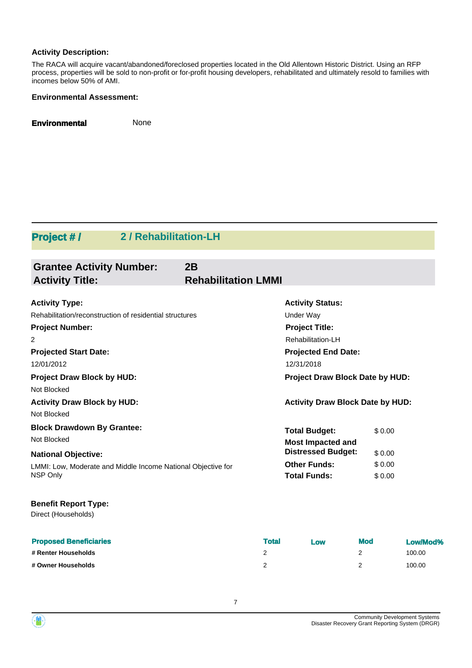#### **Activity Description:**

The RACA will acquire vacant/abandoned/foreclosed properties located in the Old Allentown Historic District. Using an RFP process, properties will be sold to non-profit or for-profit housing developers, rehabilitated and ultimately resold to families with incomes below 50% of AMI.

#### **Environmental Assessment:**

**Environmental** None

### **Project # / 2 / Rehabilitation-LH**

| <b>Grantee Activity Number:</b>                              | 2B                         |                                         |        |
|--------------------------------------------------------------|----------------------------|-----------------------------------------|--------|
| <b>Activity Title:</b>                                       | <b>Rehabilitation LMMI</b> |                                         |        |
|                                                              |                            |                                         |        |
| <b>Activity Type:</b>                                        |                            | <b>Activity Status:</b>                 |        |
| Rehabilitation/reconstruction of residential structures      |                            | <b>Under Way</b>                        |        |
| <b>Project Number:</b>                                       |                            | <b>Project Title:</b>                   |        |
| 2                                                            |                            | Rehabilitation-LH                       |        |
| <b>Projected Start Date:</b>                                 |                            | <b>Projected End Date:</b>              |        |
| 12/01/2012                                                   |                            | 12/31/2018                              |        |
| <b>Project Draw Block by HUD:</b>                            |                            | Project Draw Block Date by HUD:         |        |
| Not Blocked                                                  |                            |                                         |        |
| <b>Activity Draw Block by HUD:</b>                           |                            | <b>Activity Draw Block Date by HUD:</b> |        |
| Not Blocked                                                  |                            |                                         |        |
| <b>Block Drawdown By Grantee:</b>                            |                            | <b>Total Budget:</b>                    | \$0.00 |
| Not Blocked                                                  |                            | <b>Most Impacted and</b>                |        |
| <b>National Objective:</b>                                   |                            | <b>Distressed Budget:</b>               | \$0.00 |
| LMMI: Low, Moderate and Middle Income National Objective for |                            | <b>Other Funds:</b>                     | \$0.00 |
| NSP Only                                                     |                            | <b>Total Funds:</b>                     | \$0.00 |
| <b>Benefit Report Type:</b>                                  |                            |                                         |        |
| Direct (Households)                                          |                            |                                         |        |

| <b>Proposed Beneficiaries</b> | <b>Total</b> | Low | <b>Mod</b> | Low/Mod% |
|-------------------------------|--------------|-----|------------|----------|
| # Renter Households           |              |     |            | 100.00   |
| # Owner Households            |              |     |            | 100.00   |

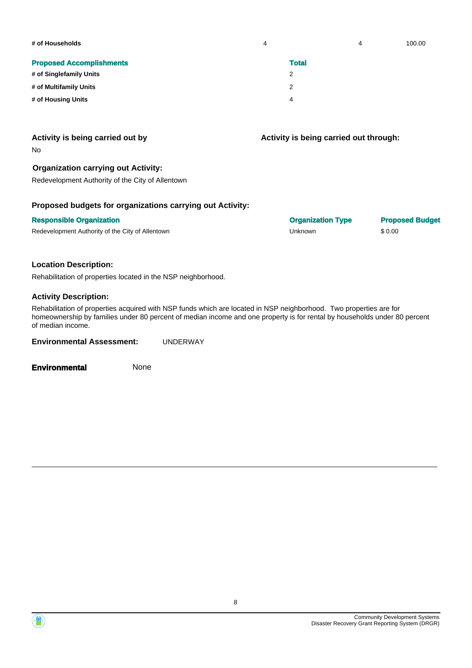| # of Households                 | 4 |              | 4 | 100.00 |
|---------------------------------|---|--------------|---|--------|
| <b>Proposed Accomplishments</b> |   | <b>Total</b> |   |        |
| # of Singlefamily Units         |   | 2            |   |        |
| # of Multifamily Units          |   | 2            |   |        |
| # of Housing Units              |   | 4            |   |        |

#### **Activity is being carried out by**

No

#### **Organization carrying out Activity:**

Redevelopment Authority of the City of Allentown

#### **Proposed budgets for organizations carrying out Activity:**

Redevelopment Authority of the City of Allentown Christian Communication Christian Christian Christian Christian Christian Christian Christian Christian Christian Christian Christian Christian Christian Christian Christian

**Activity is being carried out through:**

**Responsible Organization Organization Type Proposed Budget**

#### **Location Description:**

Rehabilitation of properties located in the NSP neighborhood.

#### **Activity Description:**

Rehabilitation of properties acquired with NSP funds which are located in NSP neighborhood. Two properties are for homeownership by families under 80 percent of median income and one property is for rental by households under 80 percent of median income.

**Environmental Assessment:** UNDERWAY

**Environmental** None

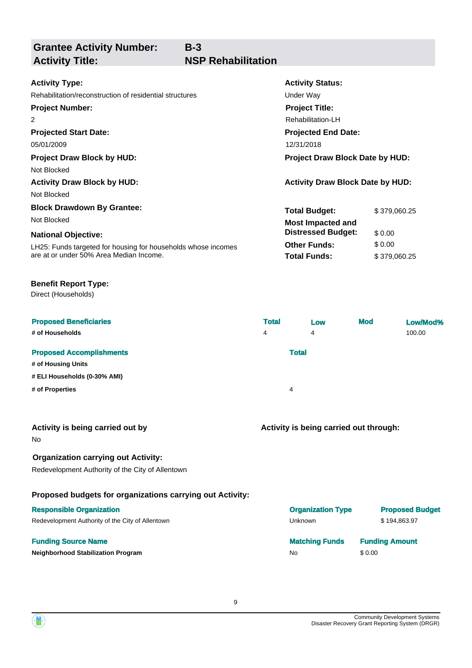**Grantee Activity Number:**

## **Activity Title: NSP Rehabilitation**

**B-3**

| <b>Activity Status:</b>                 |              |  |
|-----------------------------------------|--------------|--|
| Under Way                               |              |  |
| <b>Project Title:</b>                   |              |  |
| Rehabilitation-LH                       |              |  |
| <b>Projected End Date:</b>              |              |  |
| 12/31/2018                              |              |  |
| <b>Project Draw Block Date by HUD:</b>  |              |  |
|                                         |              |  |
| <b>Activity Draw Block Date by HUD:</b> |              |  |
|                                         |              |  |
| <b>Total Budget:</b>                    | \$379,060.25 |  |
| <b>Most Impacted and</b>                |              |  |
| <b>Distressed Budget:</b>               | \$0.00       |  |
| <b>Other Funds:</b>                     | \$0.00       |  |
| <b>Total Funds:</b>                     | \$379,060.25 |  |
|                                         |              |  |
|                                         |              |  |

### **Benefit Report Type:**

Direct (Households)

| <b>Proposed Beneficiaries</b><br># of Households      | <b>Total</b><br>4 |              | Low<br>4 | <b>Mod</b> | Low/Mod%<br>100.00 |
|-------------------------------------------------------|-------------------|--------------|----------|------------|--------------------|
| <b>Proposed Accomplishments</b><br># of Housing Units |                   | <b>Total</b> |          |            |                    |
| # ELI Households (0-30% AMI)                          |                   |              |          |            |                    |
| # of Properties                                       |                   | 4            |          |            |                    |

No

#### **Organization carrying out Activity:**

Redevelopment Authority of the City of Allentown

#### **Proposed budgets for organizations carrying out Activity:**

#### **Responsible Organization**

Redevelopment Authority of the City of Allentown

#### **Funding Source Name**

**Neighborhood Stabilization Program** 

### **Activity is being carried out through:**

| <b>Organization Type</b> | <b>Proposed Budget</b> |
|--------------------------|------------------------|
| Unknown                  | \$194,863.97           |
| <b>Matching Funds</b>    | <b>Funding Amount</b>  |
| No                       | \$0.00                 |

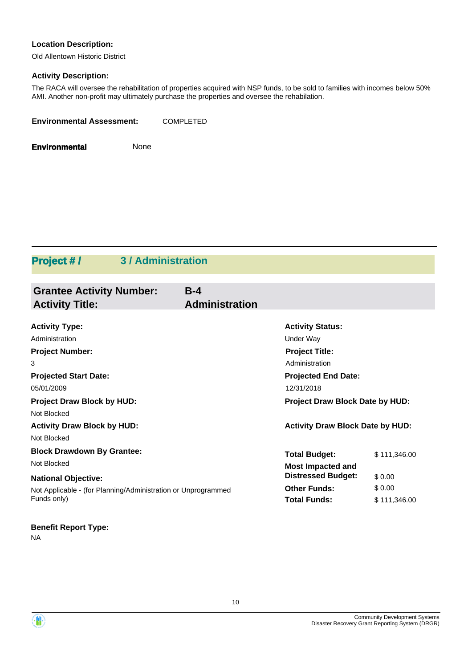#### **Location Description:**

Old Allentown Historic District

### **Activity Description:**

The RACA will oversee the rehabilitation of properties acquired with NSP funds, to be sold to families with incomes below 50% AMI. Another non-profit may ultimately purchase the properties and oversee the rehabilation.

**Environmental** None

### **Project # / 3 / Administration**

| <b>Grantee Activity Number:</b><br><b>Activity Title:</b>     | $B-4$<br><b>Administration</b>          |                                        |  |
|---------------------------------------------------------------|-----------------------------------------|----------------------------------------|--|
| <b>Activity Type:</b>                                         | <b>Activity Status:</b>                 |                                        |  |
| Administration                                                | Under Way                               |                                        |  |
| <b>Project Number:</b>                                        | <b>Project Title:</b>                   |                                        |  |
| 3                                                             | Administration                          |                                        |  |
| <b>Projected Start Date:</b>                                  | <b>Projected End Date:</b>              |                                        |  |
| 05/01/2009                                                    | 12/31/2018                              |                                        |  |
| <b>Project Draw Block by HUD:</b>                             |                                         | <b>Project Draw Block Date by HUD:</b> |  |
| Not Blocked                                                   |                                         |                                        |  |
| <b>Activity Draw Block by HUD:</b>                            | <b>Activity Draw Block Date by HUD:</b> |                                        |  |
| Not Blocked                                                   |                                         |                                        |  |
| <b>Block Drawdown By Grantee:</b>                             | <b>Total Budget:</b>                    | \$111,346.00                           |  |
| Not Blocked                                                   | <b>Most Impacted and</b>                |                                        |  |
| <b>National Objective:</b>                                    | <b>Distressed Budget:</b>               | \$0.00                                 |  |
| Not Applicable - (for Planning/Administration or Unprogrammed | <b>Other Funds:</b>                     | \$0.00                                 |  |
| Funds only)                                                   | <b>Total Funds:</b>                     | \$111,346.00                           |  |

### **Benefit Report Type:**

NA



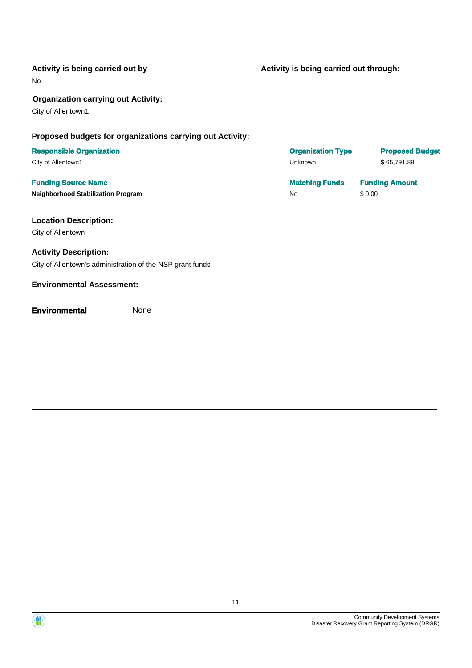#### **Activity is being carried out by**

No

#### **Organization carrying out Activity:**

City of Allentown1

#### **Proposed budgets for organizations carrying out Activity:**

## **Responsible Organization**

City of Allentown1

## **Funding Source Name Matching Funds Funding Amount**

### **Location Description:**

City of Allentown

### **Activity Description:**

City of Allentown's administration of the NSP grant funds

#### **Environmental Assessment:**

#### **Environmental** None

**Activity is being carried out through:**

| <b>Organization Type</b> | <b>Proposed Budget</b>   |
|--------------------------|--------------------------|
| Unknown                  | \$65,791.89              |
| Matalahan Panada         | From discount in a const |

**Neighborhood Stabilization Program No \$ 0.00** \$ 0.00



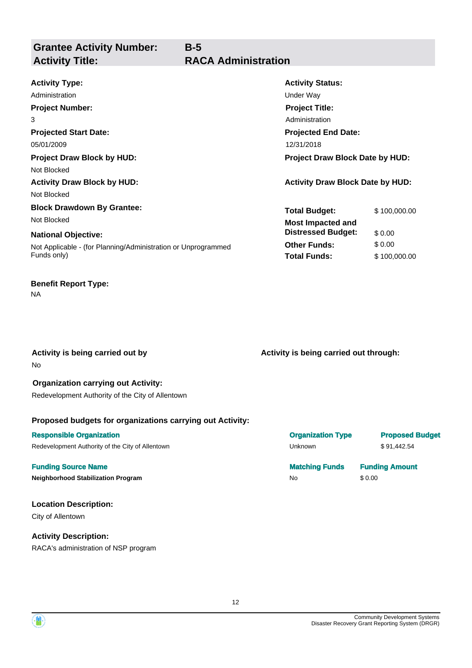**Grantee Activity Number: Activity Title: RACA Administration**

**B-5**

| <b>Activity Type:</b>                                         | <b>Activity Status:</b>                 |              |  |
|---------------------------------------------------------------|-----------------------------------------|--------------|--|
| Administration                                                | Under Way                               |              |  |
| <b>Project Number:</b>                                        | <b>Project Title:</b>                   |              |  |
| 3                                                             | Administration                          |              |  |
| <b>Projected Start Date:</b>                                  | <b>Projected End Date:</b>              |              |  |
| 05/01/2009                                                    | 12/31/2018                              |              |  |
| <b>Project Draw Block by HUD:</b>                             | <b>Project Draw Block Date by HUD:</b>  |              |  |
| Not Blocked                                                   |                                         |              |  |
| <b>Activity Draw Block by HUD:</b>                            | <b>Activity Draw Block Date by HUD:</b> |              |  |
| Not Blocked                                                   |                                         |              |  |
| <b>Block Drawdown By Grantee:</b>                             | <b>Total Budget:</b>                    | \$100,000.00 |  |
| Not Blocked                                                   | <b>Most Impacted and</b>                |              |  |
| <b>National Objective:</b>                                    | <b>Distressed Budget:</b>               | \$0.00       |  |
| Not Applicable - (for Planning/Administration or Unprogrammed | <b>Other Funds:</b>                     | \$0.00       |  |
| Funds only)                                                   | <b>Total Funds:</b>                     | \$100,000.00 |  |
|                                                               |                                         |              |  |

### **Benefit Report Type:**

NA

No **Activity is being carried out by** **Activity is being carried out through:**

#### **Organization carrying out Activity:** Redevelopment Authority of the City of Allentown

#### **Proposed budgets for organizations carrying out Activity:**

#### **Responsible Organization COVID-100 COVID-100 COVID-100 COVID-100 COVID-100 COVID-100 COVID-100 COVID-100 COVID-100 COVID-100 COVID-100 COVID-100 COVID-100 COVID-100 COVID-100 COVID-100 COVID-100 COVID-100 COVID-100 COVI**

Redevelopment Authority of the City of Allentown **Example 20 and Struck Unknown** \$ 91,442.54

#### **Funding Source Name Matching Funds Funding Amount**

**Neighborhood Stabilization Program** No **No**  $\mathsf{No}$ 

#### **Location Description:**

City of Allentown

### **Activity Description:**

RACA's administration of NSP program

| \$0.00 |
|--------|
|        |
|        |

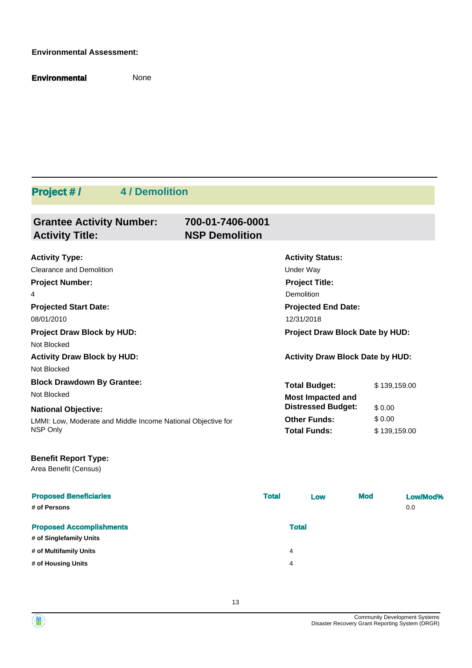#### **Environmental Assessment:**

**Environmental** None

## **Project # / 4 / Demolition**

| <b>Grantee Activity Number:</b><br><b>Activity Title:</b>    | 700-01-7406-0001<br><b>NSP Demolition</b> |                                         |              |
|--------------------------------------------------------------|-------------------------------------------|-----------------------------------------|--------------|
| <b>Activity Type:</b>                                        |                                           | <b>Activity Status:</b>                 |              |
| <b>Clearance and Demolition</b>                              |                                           | Under Way                               |              |
| <b>Project Number:</b>                                       |                                           | <b>Project Title:</b>                   |              |
| 4                                                            |                                           | Demolition                              |              |
| <b>Projected Start Date:</b>                                 |                                           | <b>Projected End Date:</b>              |              |
| 08/01/2010                                                   |                                           | 12/31/2018                              |              |
| <b>Project Draw Block by HUD:</b>                            |                                           | Project Draw Block Date by HUD:         |              |
| Not Blocked                                                  |                                           |                                         |              |
| <b>Activity Draw Block by HUD:</b>                           |                                           | <b>Activity Draw Block Date by HUD:</b> |              |
| Not Blocked                                                  |                                           |                                         |              |
| <b>Block Drawdown By Grantee:</b>                            |                                           | <b>Total Budget:</b>                    | \$139,159.00 |
| Not Blocked                                                  |                                           | <b>Most Impacted and</b>                |              |
| <b>National Objective:</b>                                   |                                           | <b>Distressed Budget:</b>               | \$0.00       |
| LMMI: Low, Moderate and Middle Income National Objective for |                                           | <b>Other Funds:</b>                     | \$0.00       |
| NSP Only                                                     |                                           | <b>Total Funds:</b>                     | \$139,159.00 |
| <b>Benefit Report Type:</b><br>Area Benefit (Census)         |                                           |                                         |              |

| <b>Proposed Beneficiaries</b>   | <b>Total</b> | Low          | <b>Mod</b> | Low/Mod% |
|---------------------------------|--------------|--------------|------------|----------|
| # of Persons                    |              |              |            | 0.0      |
|                                 |              |              |            |          |
| <b>Proposed Accomplishments</b> |              | <b>Total</b> |            |          |
| # of Singlefamily Units         |              |              |            |          |
| # of Multifamily Units          | 4            |              |            |          |
| # of Housing Units              | 4            |              |            |          |
|                                 |              |              |            |          |

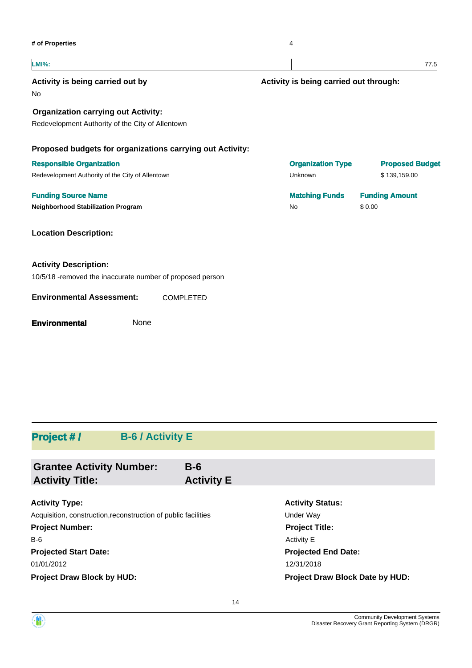$\overline{a}$ 

| <b>LMI%:</b>                                               |                                        | 77.5                   |
|------------------------------------------------------------|----------------------------------------|------------------------|
| Activity is being carried out by<br>No                     | Activity is being carried out through: |                        |
| <b>Organization carrying out Activity:</b>                 |                                        |                        |
| Redevelopment Authority of the City of Allentown           |                                        |                        |
| Proposed budgets for organizations carrying out Activity:  |                                        |                        |
| <b>Responsible Organization</b>                            | <b>Organization Type</b>               | <b>Proposed Budget</b> |
| Redevelopment Authority of the City of Allentown           | Unknown                                | \$139,159.00           |
| <b>Funding Source Name</b>                                 | <b>Matching Funds</b>                  | <b>Funding Amount</b>  |
| <b>Neighborhood Stabilization Program</b>                  | No                                     | \$0.00                 |
| <b>Location Description:</b>                               |                                        |                        |
| <b>Activity Description:</b>                               |                                        |                        |
| 10/5/18 - removed the inaccurate number of proposed person |                                        |                        |
| <b>Environmental Assessment:</b><br><b>COMPLETED</b>       |                                        |                        |
| None<br><b>Environmental</b>                               |                                        |                        |

### **Project # / B-6 / Activity E**

| <b>Grantee Activity Number:</b>                                | $B-6$             |                         |  |
|----------------------------------------------------------------|-------------------|-------------------------|--|
| <b>Activity Title:</b>                                         | <b>Activity E</b> |                         |  |
|                                                                |                   |                         |  |
| <b>Activity Type:</b>                                          |                   | <b>Activity Status:</b> |  |
| Acquisition, construction, reconstruction of public facilities |                   | Under Way               |  |
| <b>Project Number:</b>                                         |                   | <b>Project Title:</b>   |  |
| $B-6$                                                          |                   | <b>Activity E</b>       |  |
| _ _ _ _ _ _ _                                                  |                   | - - - - - - -           |  |

**Projected Start Date:**

# **Projected End Date:** 01/01/2012 12/31/2018 **Project Draw Block by HUD: Project Draw Block Date by HUD:**

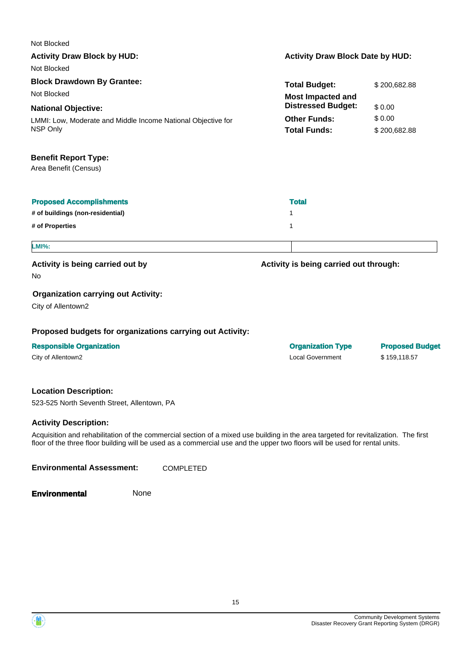| Not Blocked                                                  |                                         |                        |
|--------------------------------------------------------------|-----------------------------------------|------------------------|
| <b>Activity Draw Block by HUD:</b>                           | <b>Activity Draw Block Date by HUD:</b> |                        |
| Not Blocked                                                  |                                         |                        |
| <b>Block Drawdown By Grantee:</b>                            | <b>Total Budget:</b>                    | \$200,682.88           |
| Not Blocked                                                  | <b>Most Impacted and</b>                |                        |
| <b>National Objective:</b>                                   | <b>Distressed Budget:</b>               | \$0.00                 |
| LMMI: Low, Moderate and Middle Income National Objective for | <b>Other Funds:</b>                     | \$0.00                 |
| NSP Only                                                     | <b>Total Funds:</b>                     | \$200,682.88           |
| <b>Benefit Report Type:</b>                                  |                                         |                        |
| Area Benefit (Census)                                        |                                         |                        |
| <b>Proposed Accomplishments</b>                              | <b>Total</b>                            |                        |
| # of buildings (non-residential)                             | 1                                       |                        |
| # of Properties                                              | 1                                       |                        |
| <b>LMI%:</b>                                                 |                                         |                        |
| Activity is being carried out by                             | Activity is being carried out through:  |                        |
| No                                                           |                                         |                        |
| <b>Organization carrying out Activity:</b>                   |                                         |                        |
| City of Allentown2                                           |                                         |                        |
| Proposed budgets for organizations carrying out Activity:    |                                         |                        |
| <b>Responsible Organization</b>                              | <b>Organization Type</b>                | <b>Proposed Budget</b> |
| City of Allentown2                                           | <b>Local Government</b>                 | \$159,118.57           |
|                                                              |                                         |                        |

#### **Location Description:**

523-525 North Seventh Street, Allentown, PA

#### **Activity Description:**

Acquisition and rehabilitation of the commercial section of a mixed use building in the area targeted for revitalization. The first floor of the three floor building will be used as a commercial use and the upper two floors will be used for rental units.

**Environmental Assessment:** COMPLETED

**Environmental** None